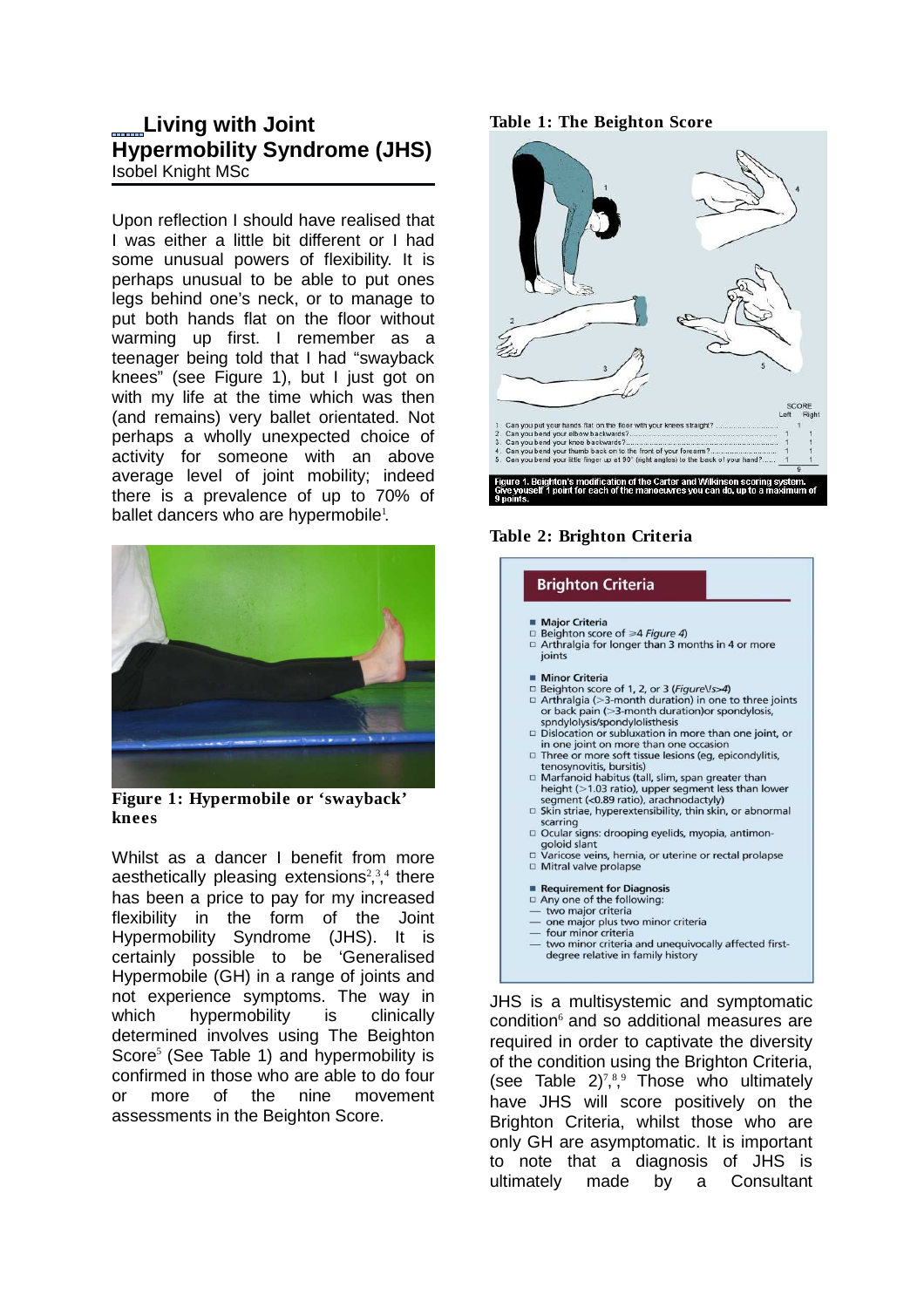# **Living with Joint Hypermobility Syndrome (JHS)** Isobel Knight MSc

Upon reflection I should have realised that I was either a little bit different or I had some unusual powers of flexibility. It is perhaps unusual to be able to put ones legs behind one's neck, or to manage to put both hands flat on the floor without warming up first. I remember as a teenager being told that I had "swayback knees" (see Figure 1), but I just got on with my life at the time which was then (and remains) very ballet orientated. Not perhaps a wholly unexpected choice of activity for someone with an above average level of joint mobility; indeed there is a prevalence of up to 70% of ballet dancers who are hypermobile<sup>1</sup>.



**Figure 1: Hypermobile or 'swayback' knees**

Whilst as a dancer I benefit from more aesthetically pleasing extensions<sup>2,3,4</sup> there has been a price to pay for my increased flexibility in the form of the Joint Hypermobility Syndrome (JHS). It is certainly possible to be 'Generalised Hypermobile (GH) in a range of joints and not experience symptoms. The way in which hypermobility is clinically determined involves using The Beighton Score<sup>5</sup> (See Table 1) and hypermobility is confirmed in those who are able to do four or more of the nine movement assessments in the Beighton Score.

### **Table 1: The Beighton Score**



#### **Table 2: Brighton Criteria**

#### **Brighton Criteria**

- Maior Criteria
- $\Box$  Beighton score of  $\geq 4$  Figure 4)  $\Box$  Arthralgia for longer than 3 months in 4 or more joints
- Minor Criteria
- □ Beighton score of 1, 2, or 3 (Figure\Is>4)
- $\Box$  Arthralgia (>3-month duration) in one to three joints<br>or back pain (>3-month duration) in one to three joints spndylolysis/spondylolisthesis
- Dislocation or subluxation in more than one joint, or in one joint on more than one occasion<br>□ Three or more soft tissue lesions (eg, epicondylitis,
- tenosynovitis, bursitis)<br>  $\Box$  Marfanoid habitus (tall, slim, span greater than
- height (>1.03 ratio), upper segment less than lower segment (<0.89 ratio), arachnodactyly)
- □ Skin striae, hyperextensibility, thin skin, or abnormal
- Starting<br>scarring<br>
□ Ocular signs: drooping eyelids, myopia, antimon-
- goloid slant<br>
□ Varicose veins, hernia, or uterine or rectal prolapse Mitral valve prolapse
- Requirement for Diagnosis
- $\Box$  Any one of the following: two major criteria
- one major plus two minor criteria
- four minor criteria
- two minor criteria and unequivocally affected firstdegree relative in family history

JHS is a multisystemic and symptomatic condition<sup>6</sup> and so additional measures are required in order to captivate the diversity of the condition using the Brighton Criteria, (see Table  $2)^{7,8,9}$  Those who ultimately have JHS will score positively on the Brighton Criteria, whilst those who are only GH are asymptomatic. It is important to note that a diagnosis of JHS is ultimately made by a Consultant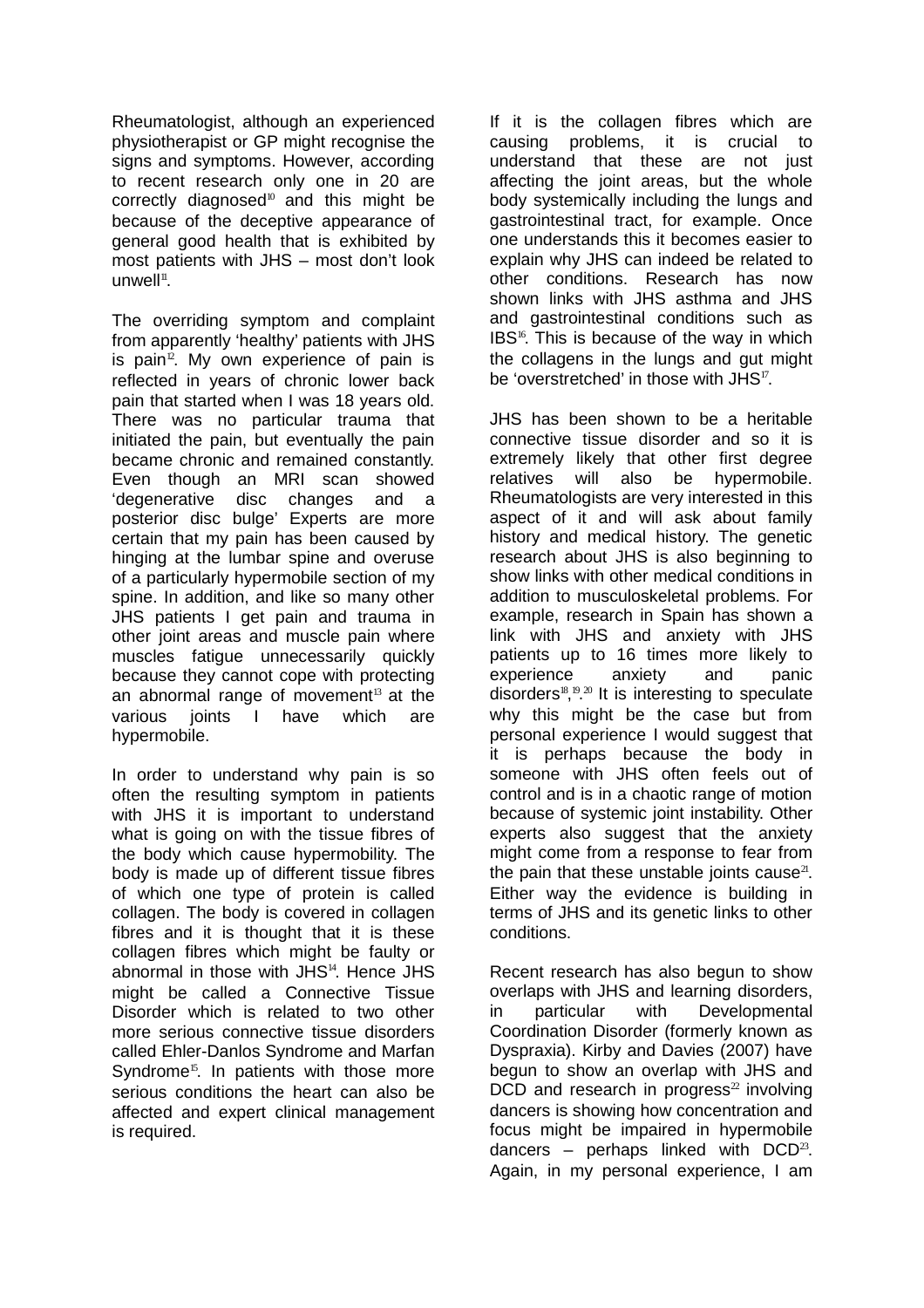Rheumatologist, although an experienced physiotherapist or GP might recognise the signs and symptoms. However, according to recent research only one in 20 are correctly diagnosed<sup>10</sup> and this might be because of the deceptive appearance of general good health that is exhibited by most patients with JHS – most don't look  $unwell<sup>11</sup>$ .

The overriding symptom and complaint from apparently 'healthy' patients with JHS is pain<sup>12</sup>. My own experience of pain is reflected in years of chronic lower back pain that started when I was 18 years old. There was no particular trauma that initiated the pain, but eventually the pain became chronic and remained constantly. Even though an MRI scan showed 'degenerative disc changes and a posterior disc bulge' Experts are more certain that my pain has been caused by hinging at the lumbar spine and overuse of a particularly hypermobile section of my spine. In addition, and like so many other JHS patients I get pain and trauma in other joint areas and muscle pain where muscles fatigue unnecessarily quickly because they cannot cope with protecting an abnormal range of movement $13$  at the various joints I have which are hypermobile.

In order to understand why pain is so often the resulting symptom in patients with JHS it is important to understand what is going on with the tissue fibres of the body which cause hypermobility. The body is made up of different tissue fibres of which one type of protein is called collagen. The body is covered in collagen fibres and it is thought that it is these collagen fibres which might be faulty or abnormal in those with  $JHS<sup>14</sup>$ . Hence  $JHS$ might be called a Connective Tissue Disorder which is related to two other more serious connective tissue disorders called Ehler-Danlos Syndrome and Marfan Syndrome<sup>15</sup>. In patients with those more serious conditions the heart can also be affected and expert clinical management is required.

If it is the collagen fibres which are causing problems, it is crucial to understand that these are not just affecting the joint areas, but the whole body systemically including the lungs and gastrointestinal tract, for example. Once one understands this it becomes easier to explain why JHS can indeed be related to other conditions. Research has now shown links with JHS asthma and JHS and gastrointestinal conditions such as IBS<sup>16</sup>. This is because of the way in which the collagens in the lungs and gut might be 'overstretched' in those with JHS<sup>17</sup>.

JHS has been shown to be a heritable connective tissue disorder and so it is extremely likely that other first degree relatives will also be hypermobile. Rheumatologists are very interested in this aspect of it and will ask about family history and medical history. The genetic research about JHS is also beginning to show links with other medical conditions in addition to musculoskeletal problems. For example, research in Spain has shown a link with JHS and anxiety with JHS patients up to 16 times more likely to experience anxiety and panic disorders<sup>18, 19, 20</sup> It is interesting to speculate why this might be the case but from personal experience I would suggest that it is perhaps because the body in someone with JHS often feels out of control and is in a chaotic range of motion because of systemic joint instability. Other experts also suggest that the anxiety might come from a response to fear from the pain that these unstable joints cause<sup>21</sup>. Either way the evidence is building in terms of JHS and its genetic links to other conditions.

Recent research has also begun to show overlaps with JHS and learning disorders, in particular with Developmental Coordination Disorder (formerly known as Dyspraxia). Kirby and Davies (2007) have begun to show an overlap with JHS and  $DCD$  and research in progress<sup>22</sup> involving dancers is showing how concentration and focus might be impaired in hypermobile dancers – perhaps linked with  $DCD^{23}$ . Again, in my personal experience, I am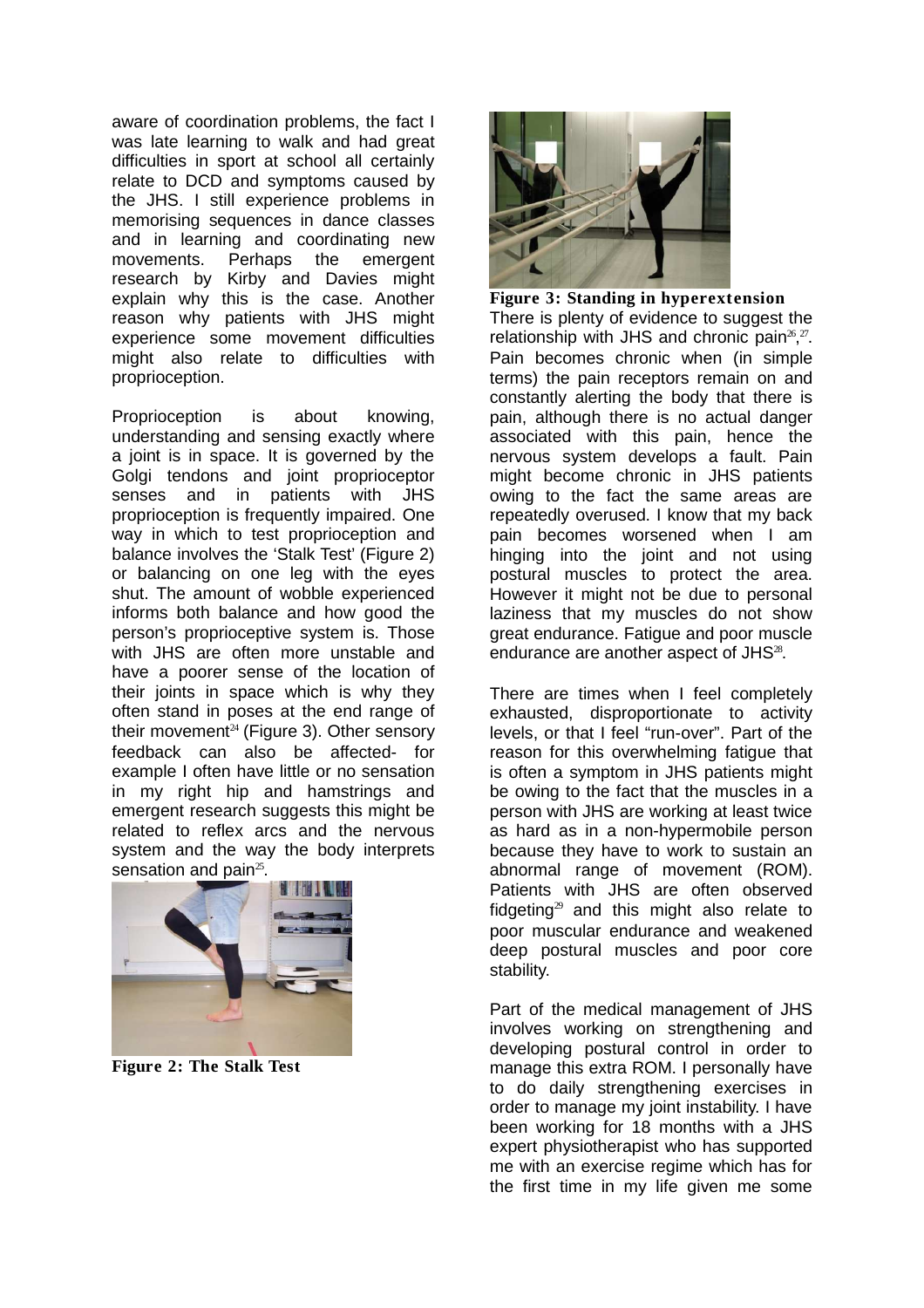aware of coordination problems, the fact I was late learning to walk and had great difficulties in sport at school all certainly relate to DCD and symptoms caused by the JHS. I still experience problems in memorising sequences in dance classes and in learning and coordinating new movements. Perhaps the emergent research by Kirby and Davies might explain why this is the case. Another reason why patients with JHS might experience some movement difficulties might also relate to difficulties with proprioception.

Proprioception is about knowing, understanding and sensing exactly where a joint is in space. It is governed by the Golgi tendons and joint proprioceptor senses and in patients with JHS proprioception is frequently impaired. One way in which to test proprioception and balance involves the 'Stalk Test' (Figure 2) or balancing on one leg with the eyes shut. The amount of wobble experienced informs both balance and how good the person's proprioceptive system is. Those with JHS are often more unstable and have a poorer sense of the location of their joints in space which is why they often stand in poses at the end range of their movement<sup>24</sup> (Figure 3). Other sensory feedback can also be affected- for example I often have little or no sensation in my right hip and hamstrings and emergent research suggests this might be related to reflex arcs and the nervous system and the way the body interprets sensation and pain $25$ .



**Figure 2: The Stalk Test**



**Figure 3: Standing in hyperextension** There is plenty of evidence to suggest the relationship with JHS and chronic pain<sup>26</sup>,<sup>27</sup>. Pain becomes chronic when (in simple terms) the pain receptors remain on and constantly alerting the body that there is pain, although there is no actual danger associated with this pain, hence the nervous system develops a fault. Pain might become chronic in JHS patients owing to the fact the same areas are repeatedly overused. I know that my back pain becomes worsened when I am hinging into the joint and not using postural muscles to protect the area. However it might not be due to personal laziness that my muscles do not show great endurance. Fatigue and poor muscle endurance are another aspect of JHS<sup>28</sup>.

There are times when I feel completely exhausted, disproportionate to activity levels, or that I feel "run-over". Part of the reason for this overwhelming fatigue that is often a symptom in JHS patients might be owing to the fact that the muscles in a person with JHS are working at least twice as hard as in a non-hypermobile person because they have to work to sustain an abnormal range of movement (ROM). Patients with JHS are often observed fidgeting<sup>29</sup> and this might also relate to poor muscular endurance and weakened deep postural muscles and poor core stability.

Part of the medical management of JHS involves working on strengthening and developing postural control in order to manage this extra ROM. I personally have to do daily strengthening exercises in order to manage my joint instability. I have been working for 18 months with a JHS expert physiotherapist who has supported me with an exercise regime which has for the first time in my life given me some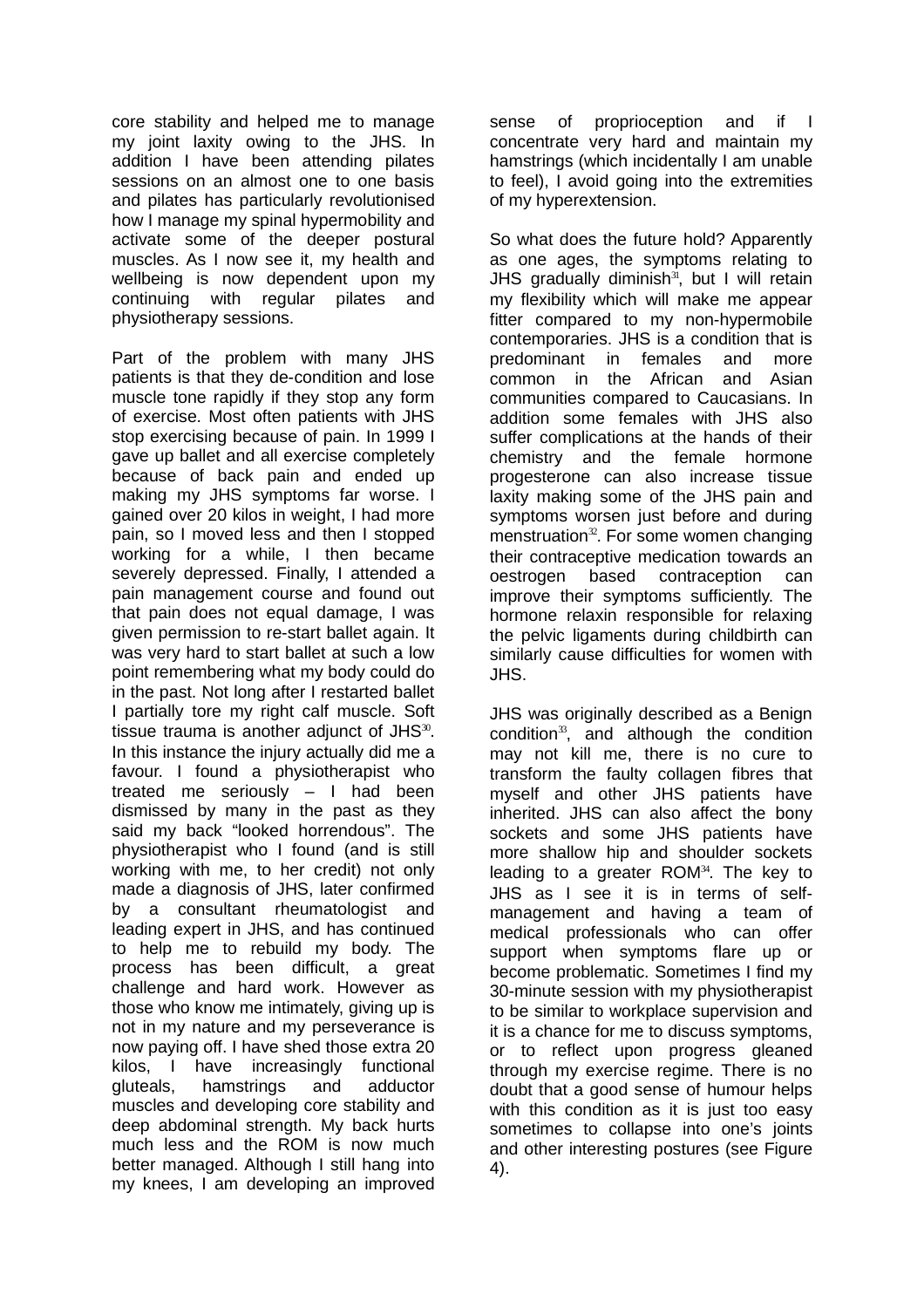core stability and helped me to manage my joint laxity owing to the JHS. In addition I have been attending pilates sessions on an almost one to one basis and pilates has particularly revolutionised how I manage my spinal hypermobility and activate some of the deeper postural muscles. As I now see it, my health and wellbeing is now dependent upon my continuing with regular pilates and physiotherapy sessions.

Part of the problem with many JHS patients is that they de-condition and lose muscle tone rapidly if they stop any form of exercise. Most often patients with JHS stop exercising because of pain. In 1999 I gave up ballet and all exercise completely because of back pain and ended up making my JHS symptoms far worse. I gained over 20 kilos in weight, I had more pain, so I moved less and then I stopped working for a while, I then became severely depressed. Finally, I attended a pain management course and found out that pain does not equal damage, I was given permission to re-start ballet again. It was very hard to start ballet at such a low point remembering what my body could do in the past. Not long after I restarted ballet I partially tore my right calf muscle. Soft tissue trauma is another adjunct of JHS $^{30}$ . In this instance the injury actually did me a favour. I found a physiotherapist who treated me seriously – I had been dismissed by many in the past as they said my back "looked horrendous". The physiotherapist who I found (and is still working with me, to her credit) not only made a diagnosis of JHS, later confirmed by a consultant rheumatologist and leading expert in JHS, and has continued to help me to rebuild my body. The process has been difficult, a great challenge and hard work. However as those who know me intimately, giving up is not in my nature and my perseverance is now paying off. I have shed those extra 20 kilos, I have increasingly functional gluteals, hamstrings and adductor muscles and developing core stability and deep abdominal strength. My back hurts much less and the ROM is now much better managed. Although I still hang into my knees, I am developing an improved

sense of proprioception and if I concentrate very hard and maintain my hamstrings (which incidentally I am unable to feel), I avoid going into the extremities of my hyperextension.

So what does the future hold? Apparently as one ages, the symptoms relating to JHS gradually diminish $31$ , but I will retain my flexibility which will make me appear fitter compared to my non-hypermobile contemporaries. JHS is a condition that is predominant in females and more common in the African and Asian communities compared to Caucasians. In addition some females with JHS also suffer complications at the hands of their chemistry and the female hormone progesterone can also increase tissue laxity making some of the JHS pain and symptoms worsen just before and during menstruation $32$ . For some women changing their contraceptive medication towards an oestrogen based contraception can improve their symptoms sufficiently. The hormone relaxin responsible for relaxing the pelvic ligaments during childbirth can similarly cause difficulties for women with JHS.

JHS was originally described as a Benign condition $33$ , and although the condition may not kill me, there is no cure to transform the faulty collagen fibres that myself and other JHS patients have inherited. JHS can also affect the bony sockets and some JHS patients have more shallow hip and shoulder sockets leading to a greater  $ROM^{34}$ . The key to JHS as I see it is in terms of selfmanagement and having a team of medical professionals who can offer support when symptoms flare up or become problematic. Sometimes I find my 30-minute session with my physiotherapist to be similar to workplace supervision and it is a chance for me to discuss symptoms, or to reflect upon progress gleaned through my exercise regime. There is no doubt that a good sense of humour helps with this condition as it is just too easy sometimes to collapse into one's joints and other interesting postures (see Figure 4).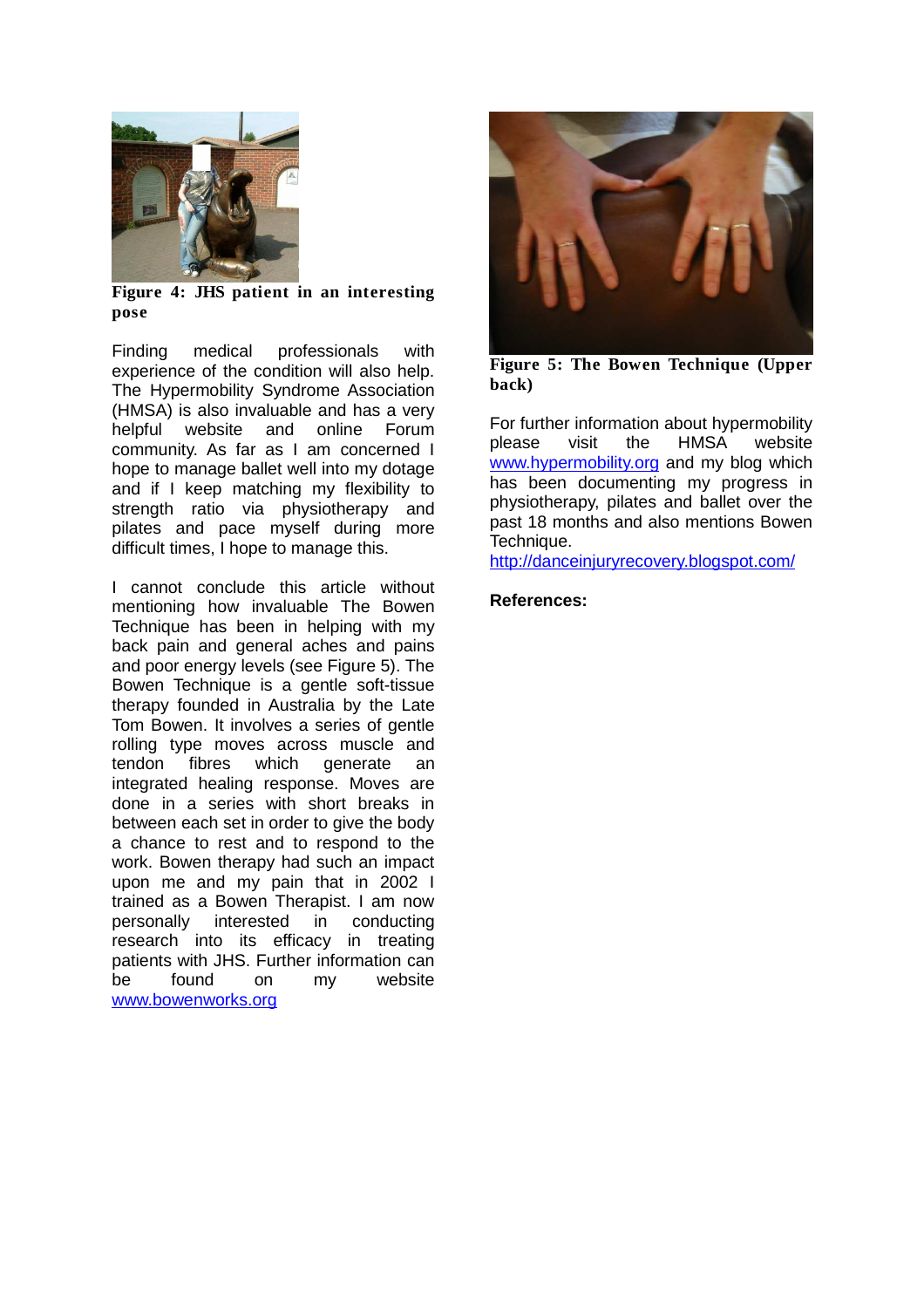

**Figure 4: JHS patient in an interesting pose**

Finding medical professionals with experience of the condition will also help. The Hypermobility Syndrome Association (HMSA) is also invaluable and has a very helpful website and online Forum community. As far as I am concerned I hope to manage ballet well into my dotage and if I keep matching my flexibility to strength ratio via physiotherapy and pilates and pace myself during more difficult times, I hope to manage this.

I cannot conclude this article without mentioning how invaluable The Bowen Technique has been in helping with my back pain and general aches and pains and poor energy levels (see Figure 5). The Bowen Technique is a gentle soft-tissue therapy founded in Australia by the Late Tom Bowen. It involves a series of gentle rolling type moves across muscle and tendon fibres which generate an integrated healing response. Moves are done in a series with short breaks in between each set in order to give the body a chance to rest and to respond to the work. Bowen therapy had such an impact upon me and my pain that in 2002 I trained as a Bowen Therapist. I am now personally interested in conducting research into its efficacy in treating patients with JHS. Further information can be found on my website www.bowenworks.org



**Figure 5: The Bowen Technique (Upper back)**

For further information about hypermobility please visit the HMSA website www.hypermobility.org and my blog which has been documenting my progress in physiotherapy, pilates and ballet over the past 18 months and also mentions Bowen Technique.

http://danceinjuryrecovery.blogspot.com/

## **References:**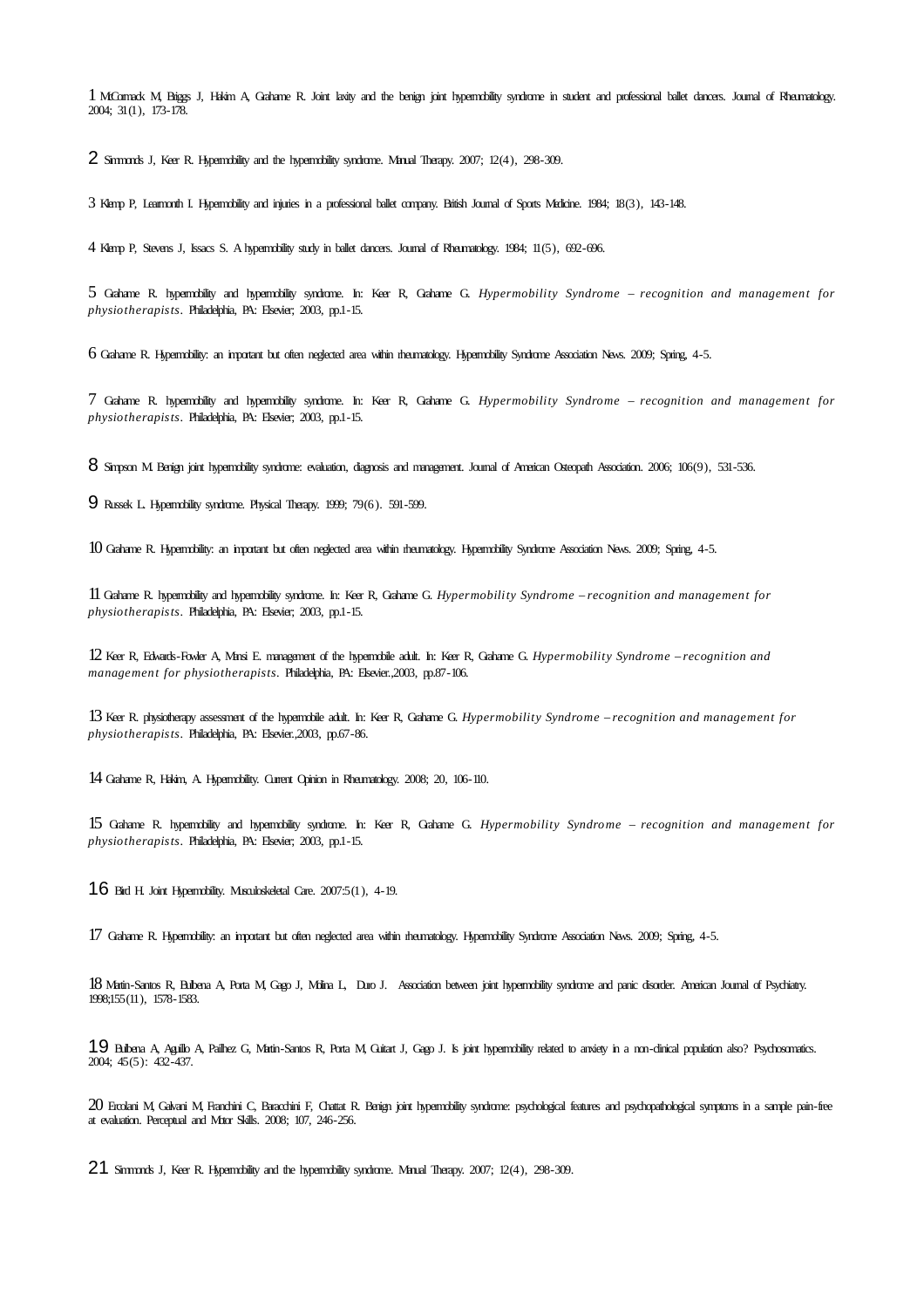McCormack M, Briggs J, Hakim A, Grahame R. Joint laxity and the benign joint hypermobility syndrome in student and professional ballet dancers. Journal of Rheumatology. 2004; 31(1), 173-178.

Simmonds J, Keer R. Hypermobility and the hypermobility syndrome. Manual Therapy. 2007; 12(4), 298-309.

Klemp P, Learmonth I. Hypermobility and injuries in a professional ballet company. British Journal of Sports Medicine. 1984; 18(3), 143-148.

Klemp P, Stevens J, Issacs S. A hypermobility study in ballet dancers. Journal of Rheumatology. 1984; 11(5), 692-696.

 Grahame R. hypermobility and hypermobility syndrome. In: Keer R, Grahame G. *Hypermobility Syndrome – recognition and management for physiotherapists*. Philadelphia, PA: Elsevier; 2003, pp.1-15.

Grahame R. Hypermobility: an important but often neglected area within rheumatology. Hypermobility Syndrome Association News. 2009; Spring, 4-5.

 Grahame R. hypermobility and hypermobility syndrome. In: Keer R, Grahame G. *Hypermobility Syndrome – recognition and management for physiotherapists*. Philadelphia, PA: Elsevier; 2003, pp.1-15.

8 Simpson M. Benign joint hypermobility syndrome: evaluation, diagnosis and management. Journal of American Osteopath Association. 2006; 106(9), 531-536.

Russek L. Hypermobility syndrome. Physical Therapy. 1999; 79(6). 591-599.

Grahame R. Hypermobility: an important but often neglected area within rheumatology. Hypermobility Syndrome Association News. 2009; Spring, 4-5.

 Grahame R. hypermobility and hypermobility syndrome. In: Keer R, Grahame G. *Hypermobility Syndrome – recognition and management for physiotherapists*. Philadelphia, PA: Elsevier; 2003, pp.1-15.

 Keer R, Edwards-Fowler A, Mansi E. management of the hypermobile adult. In: Keer R, Grahame G. *Hypermobility Syndrome – recognition and management for physiotherapists*. Philadelphia, PA: Elsevier.,2003, pp.87-106.

 Keer R. physiotherapy assessment of the hypermobile adult. In: Keer R, Grahame G. *Hypermobility Syndrome – recognition and management for physiotherapists*. Philadelphia, PA: Elsevier.,2003, pp.67-86.

Grahame R, Hakim, A. Hypermobility. Current Opinion in Rheumatology. 2008; 20, 106-110.

 Grahame R. hypermobility and hypermobility syndrome. In: Keer R, Grahame G. *Hypermobility Syndrome – recognition and management for physiotherapists*. Philadelphia, PA: Elsevier; 2003, pp.1-15.

Bird H. Joint Hypermobility. Musculoskeletal Care. 2007:5(1), 4-19.

Grahame R. Hypermobility: an important but often neglected area within rheumatology. Hypermobility Syndrome Association News. 2009; Spring, 4-5.

 Martin-Santos R, Bulbena A, Porta M, Gago J, Molina L, Duro J. Association between joint hypermobility syndrome and panic disorder. American Journal of Psychiatry. 1998;155(11), 1578-1583.

 Bulbena A, Aguillo A, Pailhez G, Martin-Santos R, Porta M, Guitart J, Gago J. Is joint hypermobility related to anxiety in a non-clinical population also? Psychosomatics. 2004; 45(5): 432-437.

 Ercolani M, Galvani M, Franchini C, Baracchini F, Chattat R. Benign joint hypermobility syndrome: psychological features and psychopathological symptoms in a sample pain-free at evaluation. Perceptual and Motor Skills. 2008; 107, 246-256.

21 Simmonds J, Keer R. Hypermobility and the hypermobility syndrome. Manual Therapy. 2007; 12(4), 298-309.